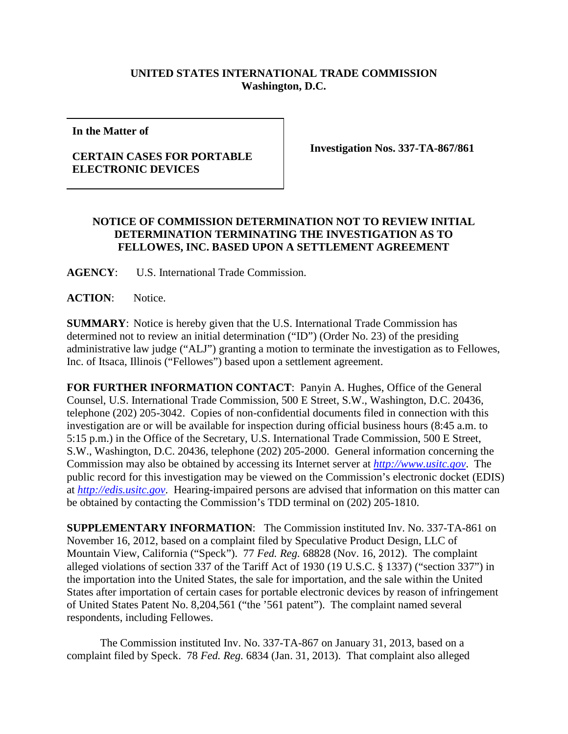## **UNITED STATES INTERNATIONAL TRADE COMMISSION Washington, D.C.**

**In the Matter of**

## **CERTAIN CASES FOR PORTABLE ELECTRONIC DEVICES**

**Investigation Nos. 337-TA-867/861**

## **NOTICE OF COMMISSION DETERMINATION NOT TO REVIEW INITIAL DETERMINATION TERMINATING THE INVESTIGATION AS TO FELLOWES, INC. BASED UPON A SETTLEMENT AGREEMENT**

**AGENCY**: U.S. International Trade Commission.

**ACTION**: Notice.

**SUMMARY**: Notice is hereby given that the U.S. International Trade Commission has determined not to review an initial determination ("ID") (Order No. 23) of the presiding administrative law judge ("ALJ") granting a motion to terminate the investigation as to Fellowes, Inc. of Itsaca, Illinois ("Fellowes") based upon a settlement agreement.

**FOR FURTHER INFORMATION CONTACT**: Panyin A. Hughes, Office of the General Counsel, U.S. International Trade Commission, 500 E Street, S.W., Washington, D.C. 20436, telephone (202) 205-3042. Copies of non-confidential documents filed in connection with this investigation are or will be available for inspection during official business hours (8:45 a.m. to 5:15 p.m.) in the Office of the Secretary, U.S. International Trade Commission, 500 E Street, S.W., Washington, D.C. 20436, telephone (202) 205-2000. General information concerning the Commission may also be obtained by accessing its Internet server at *[http://www.usitc.gov](http://www.usitc.gov/)*. The public record for this investigation may be viewed on the Commission's electronic docket (EDIS) at *[http://edis.usitc.gov](http://edis.usitc.gov/)*. Hearing-impaired persons are advised that information on this matter can be obtained by contacting the Commission's TDD terminal on (202) 205-1810.

**SUPPLEMENTARY INFORMATION**: The Commission instituted Inv. No. 337-TA-861 on November 16, 2012, based on a complaint filed by Speculative Product Design, LLC of Mountain View, California ("Speck"). 77 *Fed. Reg.* 68828 (Nov. 16, 2012). The complaint alleged violations of section 337 of the Tariff Act of 1930 (19 U.S.C. § 1337) ("section 337") in the importation into the United States, the sale for importation, and the sale within the United States after importation of certain cases for portable electronic devices by reason of infringement of United States Patent No. 8,204,561 ("the '561 patent"). The complaint named several respondents, including Fellowes.

The Commission instituted Inv. No. 337-TA-867 on January 31, 2013, based on a complaint filed by Speck. 78 *Fed. Reg.* 6834 (Jan. 31, 2013). That complaint also alleged